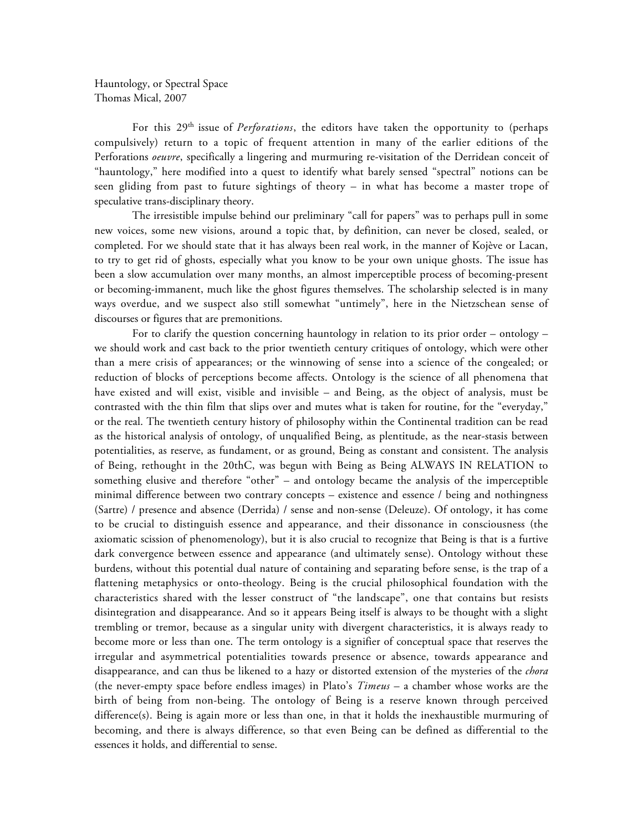Hauntology, or Spectral Space Thomas Mical, 2007

For this 29<sup>th</sup> issue of *Perforations*, the editors have taken the opportunity to (perhaps compulsively) return to a topic of frequent attention in many of the earlier editions of the Perforations *oeuvre*, specifically a lingering and murmuring re-visitation of the Derridean conceit of "hauntology," here modified into a quest to identify what barely sensed "spectral" notions can be seen gliding from past to future sightings of theory – in what has become a master trope of speculative trans-disciplinary theory.

The irresistible impulse behind our preliminary "call for papers" was to perhaps pull in some new voices, some new visions, around a topic that, by definition, can never be closed, sealed, or completed. For we should state that it has always been real work, in the manner of Kojève or Lacan, to try to get rid of ghosts, especially what you know to be your own unique ghosts. The issue has been a slow accumulation over many months, an almost imperceptible process of becoming-present or becoming-immanent, much like the ghost figures themselves. The scholarship selected is in many ways overdue, and we suspect also still somewhat "untimely", here in the Nietzschean sense of discourses or figures that are premonitions.

For to clarify the question concerning hauntology in relation to its prior order – ontology – we should work and cast back to the prior twentieth century critiques of ontology, which were other than a mere crisis of appearances; or the winnowing of sense into a science of the congealed; or reduction of blocks of perceptions become affects. Ontology is the science of all phenomena that have existed and will exist, visible and invisible – and Being, as the object of analysis, must be contrasted with the thin film that slips over and mutes what is taken for routine, for the "everyday," or the real. The twentieth century history of philosophy within the Continental tradition can be read as the historical analysis of ontology, of unqualified Being, as plentitude, as the near-stasis between potentialities, as reserve, as fundament, or as ground, Being as constant and consistent. The analysis of Being, rethought in the 20thC, was begun with Being as Being ALWAYS IN RELATION to something elusive and therefore "other" – and ontology became the analysis of the imperceptible minimal difference between two contrary concepts – existence and essence / being and nothingness (Sartre) / presence and absence (Derrida) / sense and non-sense (Deleuze). Of ontology, it has come to be crucial to distinguish essence and appearance, and their dissonance in consciousness (the axiomatic scission of phenomenology), but it is also crucial to recognize that Being is that is a furtive dark convergence between essence and appearance (and ultimately sense). Ontology without these burdens, without this potential dual nature of containing and separating before sense, is the trap of a flattening metaphysics or onto-theology. Being is the crucial philosophical foundation with the characteristics shared with the lesser construct of "the landscape", one that contains but resists disintegration and disappearance. And so it appears Being itself is always to be thought with a slight trembling or tremor, because as a singular unity with divergent characteristics, it is always ready to become more or less than one. The term ontology is a signifier of conceptual space that reserves the irregular and asymmetrical potentialities towards presence or absence, towards appearance and disappearance, and can thus be likened to a hazy or distorted extension of the mysteries of the *chora* (the never-empty space before endless images) in Plato's *Timeus* – a chamber whose works are the birth of being from non-being. The ontology of Being is a reserve known through perceived difference(s). Being is again more or less than one, in that it holds the inexhaustible murmuring of becoming, and there is always difference, so that even Being can be defined as differential to the essences it holds, and differential to sense.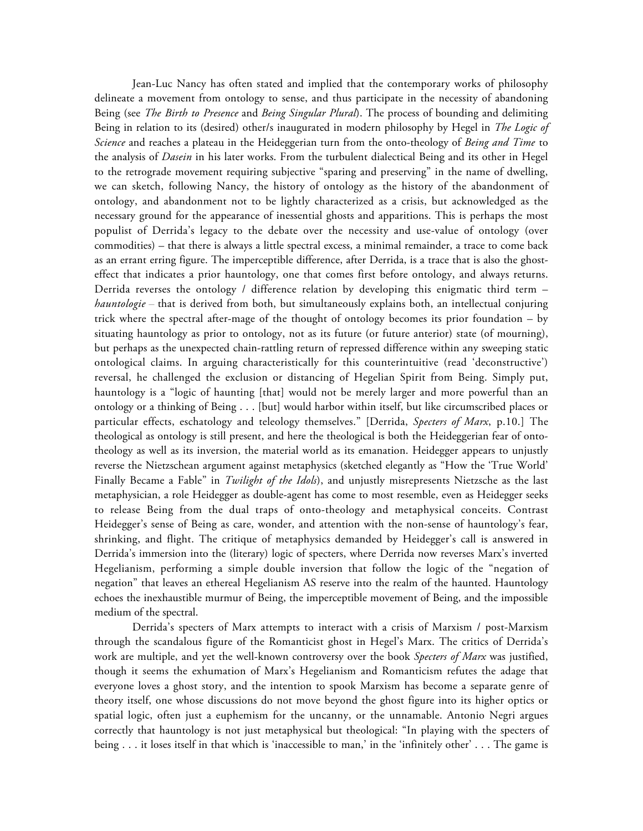Jean-Luc Nancy has often stated and implied that the contemporary works of philosophy delineate a movement from ontology to sense, and thus participate in the necessity of abandoning Being (see *The Birth to Presence* and *Being Singular Plural*). The process of bounding and delimiting Being in relation to its (desired) other/s inaugurated in modern philosophy by Hegel in *The Logic of Science* and reaches a plateau in the Heideggerian turn from the onto-theology of *Being and Time* to the analysis of *Dasein* in his later works. From the turbulent dialectical Being and its other in Hegel to the retrograde movement requiring subjective "sparing and preserving" in the name of dwelling, we can sketch, following Nancy, the history of ontology as the history of the abandonment of ontology, and abandonment not to be lightly characterized as a crisis, but acknowledged as the necessary ground for the appearance of inessential ghosts and apparitions. This is perhaps the most populist of Derrida's legacy to the debate over the necessity and use-value of ontology (over commodities) – that there is always a little spectral excess, a minimal remainder, a trace to come back as an errant erring figure. The imperceptible difference, after Derrida, is a trace that is also the ghosteffect that indicates a prior hauntology, one that comes first before ontology, and always returns. Derrida reverses the ontology / difference relation by developing this enigmatic third term *hauntologie* – that is derived from both, but simultaneously explains both, an intellectual conjuring trick where the spectral after-mage of the thought of ontology becomes its prior foundation – by situating hauntology as prior to ontology, not as its future (or future anterior) state (of mourning), but perhaps as the unexpected chain-rattling return of repressed difference within any sweeping static ontological claims. In arguing characteristically for this counterintuitive (read 'deconstructive') reversal, he challenged the exclusion or distancing of Hegelian Spirit from Being. Simply put, hauntology is a "logic of haunting [that] would not be merely larger and more powerful than an ontology or a thinking of Being . . . [but] would harbor within itself, but like circumscribed places or particular effects, eschatology and teleology themselves." [Derrida, *Specters of Marx*, p.10.] The theological as ontology is still present, and here the theological is both the Heideggerian fear of ontotheology as well as its inversion, the material world as its emanation. Heidegger appears to unjustly reverse the Nietzschean argument against metaphysics (sketched elegantly as "How the 'True World' Finally Became a Fable" in *Twilight of the Idols*), and unjustly misrepresents Nietzsche as the last metaphysician, a role Heidegger as double-agent has come to most resemble, even as Heidegger seeks to release Being from the dual traps of onto-theology and metaphysical conceits. Contrast Heidegger's sense of Being as care, wonder, and attention with the non-sense of hauntology's fear, shrinking, and flight. The critique of metaphysics demanded by Heidegger's call is answered in Derrida's immersion into the (literary) logic of specters, where Derrida now reverses Marx's inverted Hegelianism, performing a simple double inversion that follow the logic of the "negation of negation" that leaves an ethereal Hegelianism AS reserve into the realm of the haunted. Hauntology echoes the inexhaustible murmur of Being, the imperceptible movement of Being, and the impossible medium of the spectral.

Derrida's specters of Marx attempts to interact with a crisis of Marxism / post-Marxism through the scandalous figure of the Romanticist ghost in Hegel's Marx. The critics of Derrida's work are multiple, and yet the well-known controversy over the book *Specters of Marx* was justified, though it seems the exhumation of Marx's Hegelianism and Romanticism refutes the adage that everyone loves a ghost story, and the intention to spook Marxism has become a separate genre of theory itself, one whose discussions do not move beyond the ghost figure into its higher optics or spatial logic, often just a euphemism for the uncanny, or the unnamable. Antonio Negri argues correctly that hauntology is not just metaphysical but theological: "In playing with the specters of being . . . it loses itself in that which is 'inaccessible to man,' in the 'infinitely other' . . . The game is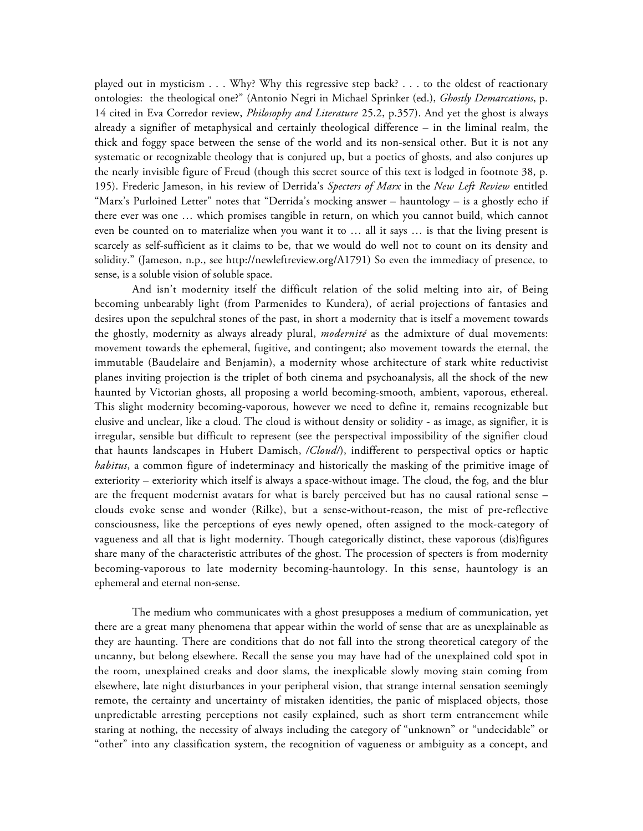played out in mysticism . . . Why? Why this regressive step back? . . . to the oldest of reactionary ontologies: the theological one?" (Antonio Negri in Michael Sprinker (ed.), *Ghostly Demarcations*, p. 14 cited in Eva Corredor review, *Philosophy and Literature* 25.2, p.357). And yet the ghost is always already a signifier of metaphysical and certainly theological difference – in the liminal realm, the thick and foggy space between the sense of the world and its non-sensical other. But it is not any systematic or recognizable theology that is conjured up, but a poetics of ghosts, and also conjures up the nearly invisible figure of Freud (though this secret source of this text is lodged in footnote 38, p. 195). Frederic Jameson, in his review of Derrida's *Specters of Marx* in the *New Left Review* entitled "Marx's Purloined Letter" notes that "Derrida's mocking answer – hauntology – is a ghostly echo if there ever was one … which promises tangible in return, on which you cannot build, which cannot even be counted on to materialize when you want it to … all it says … is that the living present is scarcely as self-sufficient as it claims to be, that we would do well not to count on its density and solidity." (Jameson, n.p., see http://newleftreview.org/A1791) So even the immediacy of presence, to sense, is a soluble vision of soluble space.

And isn't modernity itself the difficult relation of the solid melting into air, of Being becoming unbearably light (from Parmenides to Kundera), of aerial projections of fantasies and desires upon the sepulchral stones of the past, in short a modernity that is itself a movement towards the ghostly, modernity as always already plural, *modernité* as the admixture of dual movements: movement towards the ephemeral, fugitive, and contingent; also movement towards the eternal, the immutable (Baudelaire and Benjamin), a modernity whose architecture of stark white reductivist planes inviting projection is the triplet of both cinema and psychoanalysis, all the shock of the new haunted by Victorian ghosts, all proposing a world becoming-smooth, ambient, vaporous, ethereal. This slight modernity becoming-vaporous, however we need to define it, remains recognizable but elusive and unclear, like a cloud. The cloud is without density or solidity - as image, as signifier, it is irregular, sensible but difficult to represent (see the perspectival impossibility of the signifier cloud that haunts landscapes in Hubert Damisch, */Cloud/*), indifferent to perspectival optics or haptic *habitus*, a common figure of indeterminacy and historically the masking of the primitive image of exteriority – exteriority which itself is always a space-without image. The cloud, the fog, and the blur are the frequent modernist avatars for what is barely perceived but has no causal rational sense – clouds evoke sense and wonder (Rilke), but a sense-without-reason, the mist of pre-reflective consciousness, like the perceptions of eyes newly opened, often assigned to the mock-category of vagueness and all that is light modernity. Though categorically distinct, these vaporous (dis)figures share many of the characteristic attributes of the ghost. The procession of specters is from modernity becoming-vaporous to late modernity becoming-hauntology. In this sense, hauntology is an ephemeral and eternal non-sense.

The medium who communicates with a ghost presupposes a medium of communication, yet there are a great many phenomena that appear within the world of sense that are as unexplainable as they are haunting. There are conditions that do not fall into the strong theoretical category of the uncanny, but belong elsewhere. Recall the sense you may have had of the unexplained cold spot in the room, unexplained creaks and door slams, the inexplicable slowly moving stain coming from elsewhere, late night disturbances in your peripheral vision, that strange internal sensation seemingly remote, the certainty and uncertainty of mistaken identities, the panic of misplaced objects, those unpredictable arresting perceptions not easily explained, such as short term entrancement while staring at nothing, the necessity of always including the category of "unknown" or "undecidable" or "other" into any classification system, the recognition of vagueness or ambiguity as a concept, and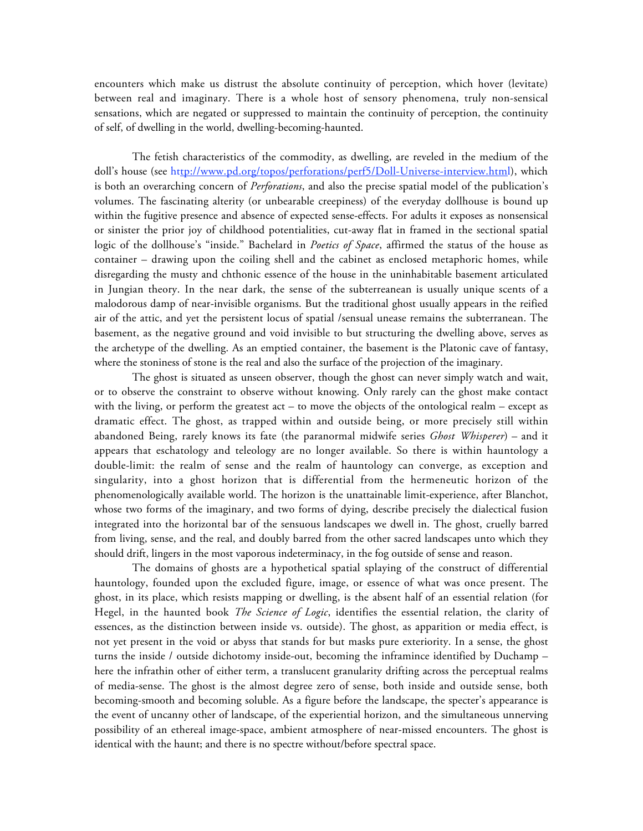encounters which make us distrust the absolute continuity of perception, which hover (levitate) between real and imaginary. There is a whole host of sensory phenomena, truly non-sensical sensations, which are negated or suppressed to maintain the continuity of perception, the continuity of self, of dwelling in the world, dwelling-becoming-haunted.

The fetish characteristics of the commodity, as dwelling, are reveled in the medium of the doll's house (see http://www.pd.org/topos/perforations/perf5/Doll-Universe-interview.html), which is both an overarching concern of *Perforations*, and also the precise spatial model of the publication's volumes. The fascinating alterity (or unbearable creepiness) of the everyday dollhouse is bound up within the fugitive presence and absence of expected sense-effects. For adults it exposes as nonsensical or sinister the prior joy of childhood potentialities, cut-away flat in framed in the sectional spatial logic of the dollhouse's "inside." Bachelard in *Poetics of Space*, affirmed the status of the house as container – drawing upon the coiling shell and the cabinet as enclosed metaphoric homes, while disregarding the musty and chthonic essence of the house in the uninhabitable basement articulated in Jungian theory. In the near dark, the sense of the subterreanean is usually unique scents of a malodorous damp of near-invisible organisms. But the traditional ghost usually appears in the reified air of the attic, and yet the persistent locus of spatial /sensual unease remains the subterranean. The basement, as the negative ground and void invisible to but structuring the dwelling above, serves as the archetype of the dwelling. As an emptied container, the basement is the Platonic cave of fantasy, where the stoniness of stone is the real and also the surface of the projection of the imaginary.

The ghost is situated as unseen observer, though the ghost can never simply watch and wait, or to observe the constraint to observe without knowing. Only rarely can the ghost make contact with the living, or perform the greatest  $act - to$  move the objects of the ontological realm  $-$  except as dramatic effect. The ghost, as trapped within and outside being, or more precisely still within abandoned Being, rarely knows its fate (the paranormal midwife series *Ghost Whisperer*) – and it appears that eschatology and teleology are no longer available. So there is within hauntology a double-limit: the realm of sense and the realm of hauntology can converge, as exception and singularity, into a ghost horizon that is differential from the hermeneutic horizon of the phenomenologically available world. The horizon is the unattainable limit-experience, after Blanchot, whose two forms of the imaginary, and two forms of dying, describe precisely the dialectical fusion integrated into the horizontal bar of the sensuous landscapes we dwell in. The ghost, cruelly barred from living, sense, and the real, and doubly barred from the other sacred landscapes unto which they should drift, lingers in the most vaporous indeterminacy, in the fog outside of sense and reason.

The domains of ghosts are a hypothetical spatial splaying of the construct of differential hauntology, founded upon the excluded figure, image, or essence of what was once present. The ghost, in its place, which resists mapping or dwelling, is the absent half of an essential relation (for Hegel, in the haunted book *The Science of Logic*, identifies the essential relation, the clarity of essences, as the distinction between inside vs. outside). The ghost, as apparition or media effect, is not yet present in the void or abyss that stands for but masks pure exteriority. In a sense, the ghost turns the inside / outside dichotomy inside-out, becoming the inframince identified by Duchamp – here the infrathin other of either term, a translucent granularity drifting across the perceptual realms of media-sense. The ghost is the almost degree zero of sense, both inside and outside sense, both becoming-smooth and becoming soluble. As a figure before the landscape, the specter's appearance is the event of uncanny other of landscape, of the experiential horizon, and the simultaneous unnerving possibility of an ethereal image-space, ambient atmosphere of near-missed encounters. The ghost is identical with the haunt; and there is no spectre without/before spectral space.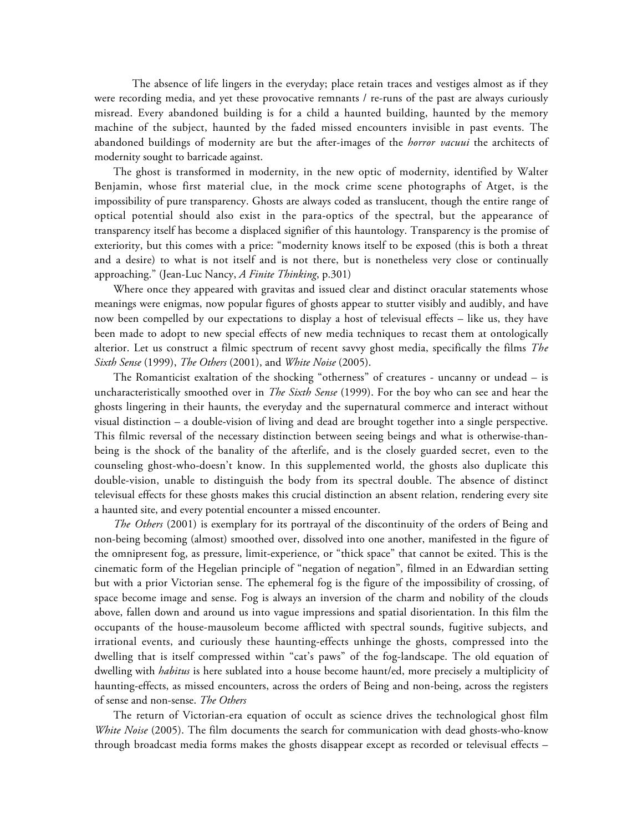The absence of life lingers in the everyday; place retain traces and vestiges almost as if they were recording media, and yet these provocative remnants / re-runs of the past are always curiously misread. Every abandoned building is for a child a haunted building, haunted by the memory machine of the subject, haunted by the faded missed encounters invisible in past events. The abandoned buildings of modernity are but the after-images of the *horror vacuui* the architects of modernity sought to barricade against.

The ghost is transformed in modernity, in the new optic of modernity, identified by Walter Benjamin, whose first material clue, in the mock crime scene photographs of Atget, is the impossibility of pure transparency. Ghosts are always coded as translucent, though the entire range of optical potential should also exist in the para-optics of the spectral, but the appearance of transparency itself has become a displaced signifier of this hauntology. Transparency is the promise of exteriority, but this comes with a price: "modernity knows itself to be exposed (this is both a threat and a desire) to what is not itself and is not there, but is nonetheless very close or continually approaching." (Jean-Luc Nancy, *A Finite Thinking*, p.301)

Where once they appeared with gravitas and issued clear and distinct oracular statements whose meanings were enigmas, now popular figures of ghosts appear to stutter visibly and audibly, and have now been compelled by our expectations to display a host of televisual effects – like us, they have been made to adopt to new special effects of new media techniques to recast them at ontologically alterior. Let us construct a filmic spectrum of recent savvy ghost media, specifically the films *The Sixth Sense* (1999), *The Others* (2001), and *White Noise* (2005).

The Romanticist exaltation of the shocking "otherness" of creatures - uncanny or undead – is uncharacteristically smoothed over in *The Sixth Sense* (1999). For the boy who can see and hear the ghosts lingering in their haunts, the everyday and the supernatural commerce and interact without visual distinction – a double-vision of living and dead are brought together into a single perspective. This filmic reversal of the necessary distinction between seeing beings and what is otherwise-thanbeing is the shock of the banality of the afterlife, and is the closely guarded secret, even to the counseling ghost-who-doesn't know. In this supplemented world, the ghosts also duplicate this double-vision, unable to distinguish the body from its spectral double. The absence of distinct televisual effects for these ghosts makes this crucial distinction an absent relation, rendering every site a haunted site, and every potential encounter a missed encounter.

*The Others* (2001) is exemplary for its portrayal of the discontinuity of the orders of Being and non-being becoming (almost) smoothed over, dissolved into one another, manifested in the figure of the omnipresent fog, as pressure, limit-experience, or "thick space" that cannot be exited. This is the cinematic form of the Hegelian principle of "negation of negation", filmed in an Edwardian setting but with a prior Victorian sense. The ephemeral fog is the figure of the impossibility of crossing, of space become image and sense. Fog is always an inversion of the charm and nobility of the clouds above, fallen down and around us into vague impressions and spatial disorientation. In this film the occupants of the house-mausoleum become afflicted with spectral sounds, fugitive subjects, and irrational events, and curiously these haunting-effects unhinge the ghosts, compressed into the dwelling that is itself compressed within "cat's paws" of the fog-landscape. The old equation of dwelling with *habitus* is here sublated into a house become haunt/ed, more precisely a multiplicity of haunting-effects, as missed encounters, across the orders of Being and non-being, across the registers of sense and non-sense. *The Others*

The return of Victorian-era equation of occult as science drives the technological ghost film *White Noise* (2005). The film documents the search for communication with dead ghosts-who-know through broadcast media forms makes the ghosts disappear except as recorded or televisual effects –